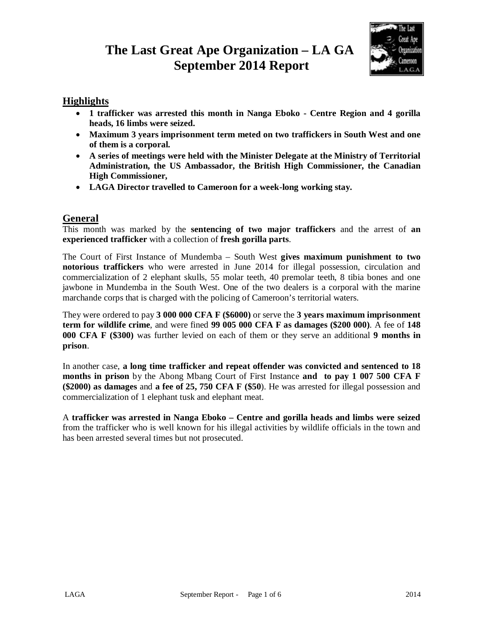# **The Last Great Ape Organization – LA GA September 2014 Report**



# **Highlights**

- **1 trafficker was arrested this month in Nanga Eboko - Centre Region and 4 gorilla heads, 16 limbs were seized.**
- **Maximum 3 years imprisonment term meted on two traffickers in South West and one of them is a corporal.**
- **A series of meetings were held with the Minister Delegate at the Ministry of Territorial Administration, the US Ambassador, the British High Commissioner, the Canadian High Commissioner,**
- **LAGA Director travelled to Cameroon for a week-long working stay.**

# **General**

This month was marked by the **sentencing of two major traffickers** and the arrest of **an experienced trafficker** with a collection of **fresh gorilla parts**.

The Court of First Instance of Mundemba – South West **gives maximum punishment to two notorious traffickers** who were arrested in June 2014 for illegal possession, circulation and commercialization of 2 elephant skulls, 55 molar teeth, 40 premolar teeth, 8 tibia bones and one jawbone in Mundemba in the South West. One of the two dealers is a corporal with the marine marchande corps that is charged with the policing of Cameroon's territorial waters.

They were ordered to pay **3 000 000 CFA F (\$6000)** or serve the **3 years maximum imprisonment term for wildlife crime**, and were fined **99 005 000 CFA F as damages (\$200 000)**. A fee of **148 000 CFA F (\$300)** was further levied on each of them or they serve an additional **9 months in prison**.

In another case, **a long time trafficker and repeat offender was convicted and sentenced to 18 months in prison** by the Abong Mbang Court of First Instance **and to pay 1 007 500 CFA F (\$2000) as damages** and **a fee of 25, 750 CFA F (\$50**). He was arrested for illegal possession and commercialization of 1 elephant tusk and elephant meat.

A **trafficker was arrested in Nanga Eboko – Centre and gorilla heads and limbs were seized** from the trafficker who is well known for his illegal activities by wildlife officials in the town and has been arrested several times but not prosecuted.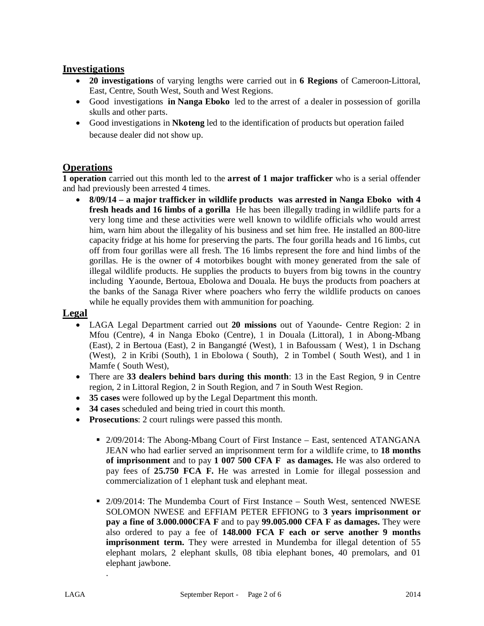#### **Investigations**

- **20 investigations** of varying lengths were carried out in **6 Regions** of Cameroon-Littoral, East, Centre, South West, South and West Regions.
- Good investigations **in Nanga Eboko** led to the arrest of a dealer in possession of gorilla skulls and other parts.
- Good investigations in **Nkoteng** led to the identification of products but operation failed because dealer did not show up.

### **Operations**

**1 operation** carried out this month led to the **arrest of 1 major trafficker** who is a serial offender and had previously been arrested 4 times.

 **8/09/14 – a major trafficker in wildlife products was arrested in Nanga Eboko with 4 fresh heads and 16 limbs of a gorilla** He has been illegally trading in wildlife parts for a very long time and these activities were well known to wildlife officials who would arrest him, warn him about the illegality of his business and set him free. He installed an 800-litre capacity fridge at his home for preserving the parts. The four gorilla heads and 16 limbs, cut off from four gorillas were all fresh. The 16 limbs represent the fore and hind limbs of the gorillas. He is the owner of 4 motorbikes bought with money generated from the sale of illegal wildlife products. He supplies the products to buyers from big towns in the country including Yaounde, Bertoua, Ebolowa and Douala. He buys the products from poachers at the banks of the Sanaga River where poachers who ferry the wildlife products on canoes while he equally provides them with ammunition for poaching.

#### **Legal**

- LAGA Legal Department carried out **20 missions** out of Yaounde- Centre Region: 2 in Mfou (Centre), 4 in Nanga Eboko (Centre), 1 in Douala (Littoral), 1 in Abong-Mbang (East), 2 in Bertoua (East), 2 in Bangangté (West), 1 in Bafoussam ( West), 1 in Dschang (West), 2 in Kribi (South), 1 in Ebolowa ( South), 2 in Tombel ( South West), and 1 in Mamfe ( South West),
- There are **33 dealers behind bars during this month**: 13 in the East Region, 9 in Centre region, 2 in Littoral Region, 2 in South Region, and 7 in South West Region.
- **35 cases** were followed up by the Legal Department this month.
- **34 cases** scheduled and being tried in court this month.
- **Prosecutions**: 2 court rulings were passed this month.
	- 2/09/2014: The Abong-Mbang Court of First Instance East, sentenced ATANGANA JEAN who had earlier served an imprisonment term for a wildlife crime, to **18 months of imprisonment** and to pay **1 007 500 CFA F as damages.** He was also ordered to pay fees of **25.750 FCA F.** He was arrested in Lomie for illegal possession and commercialization of 1 elephant tusk and elephant meat.
	- 2/09/2014: The Mundemba Court of First Instance South West, sentenced NWESE SOLOMON NWESE and EFFIAM PETER EFFIONG to **3 years imprisonment or pay a fine of 3.000.000CFA F** and to pay **99.005.000 CFA F as damages.** They were also ordered to pay a fee of **148.000 FCA F each or serve another 9 months imprisonment term.** They were arrested in Mundemba for illegal detention of 55 elephant molars, 2 elephant skulls, 08 tibia elephant bones, 40 premolars, and 01 elephant jawbone.

.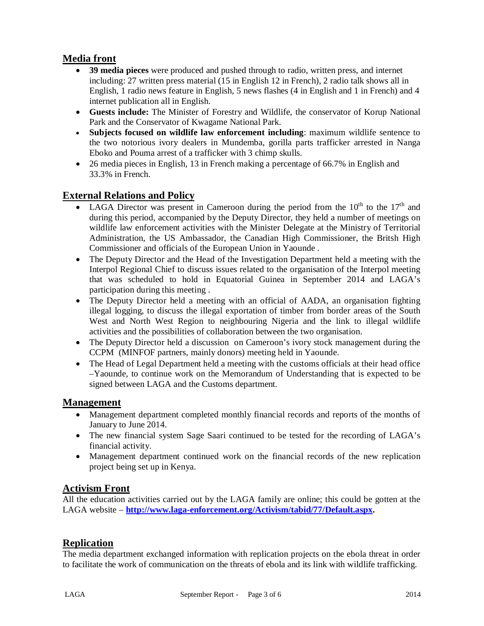# **Media front**

- **39 media pieces** were produced and pushed through to radio, written press, and internet including: 27 written press material (15 in English 12 in French), 2 radio talk shows all in English, 1 radio news feature in English, 5 news flashes (4 in English and 1 in French) and 4 internet publication all in English.
- **Guests include:** The Minister of Forestry and Wildlife, the conservator of Korup National Park and the Conservator of Kwagame National Park.
- **Subjects focused on wildlife law enforcement including**: maximum wildlife sentence to the two notorious ivory dealers in Mundemba, gorilla parts trafficker arrested in Nanga Eboko and Pouma arrest of a trafficker with 3 chimp skulls.
- 26 media pieces in English, 13 in French making a percentage of 66.7% in English and 33.3% in French.

### **External Relations and Policy**

- LAGA Director was present in Cameroon during the period from the  $10<sup>th</sup>$  to the  $17<sup>th</sup>$  and during this period, accompanied by the Deputy Director, they held a number of meetings on wildlife law enforcement activities with the Minister Delegate at the Ministry of Territorial Administration, the US Ambassador, the Canadian High Commissioner, the Britsh High Commissioner and officials of the European Union in Yaounde .
- The Deputy Director and the Head of the Investigation Department held a meeting with the Interpol Regional Chief to discuss issues related to the organisation of the Interpol meeting that was scheduled to hold in Equatorial Guinea in September 2014 and LAGA's participation during this meeting .
- The Deputy Director held a meeting with an official of AADA, an organisation fighting illegal logging, to discuss the illegal exportation of timber from border areas of the South West and North West Region to neighbouring Nigeria and the link to illegal wildlife activities and the possibilities of collaboration between the two organisation.
- The Deputy Director held a discussion on Cameroon's ivory stock management during the CCPM (MINFOF partners, mainly donors) meeting held in Yaounde.
- The Head of Legal Department held a meeting with the customs officials at their head office –Yaounde, to continue work on the Memorandum of Understanding that is expected to be signed between LAGA and the Customs department.

#### **Management**

- Management department completed monthly financial records and reports of the months of January to June 2014.
- The new financial system Sage Saari continued to be tested for the recording of LAGA's financial activity.
- Management department continued work on the financial records of the new replication project being set up in Kenya.

### **Activism Front**

All the education activities carried out by the LAGA family are online; this could be gotten at the LAGA website – **<http://www.laga-enforcement.org/Activism/tabid/77/Default.aspx.>**

### **Replication**

The media department exchanged information with replication projects on the ebola threat in order to facilitate the work of communication on the threats of ebola and its link with wildlife trafficking.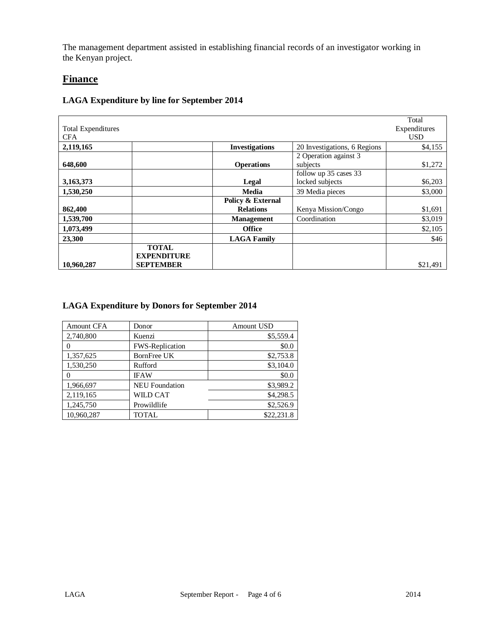The management department assisted in establishing financial records of an investigator working in the Kenyan project.

#### **Finance**

#### Total Expenditures CFA Total Expenditures USD **2,119,165 Investigations** 20 Investigations, 6 Regions \$4,155 **648,600 Operations** 2 Operation against 3 subjects \$1,272 **3,163,373 Legal** follow up 35 cases 33 locked subjects<br>
39 Media pieces<br>
39 Media pieces<br>
33,000 **1,530,250 Media** 39 Media pieces **862,400 Policy & External Kenya Mission/Congo** \$1,691 **1,539,700 Management** Coordination \$3,019 **1,073,499 Conserversity Conserversity Conserversity Conserversity Conserversity Conserversity S2,105 23,300 LAGA Family LAGA Family 1 23,300 1 1 546 10,960,287 TOTAL EXPENDITURE SEPTEMBER** \$21,491

#### **LAGA Expenditure by line for September 2014**

#### **LAGA Expenditure by Donors for September 2014**

| <b>Amount CFA</b> | Donor                 | Amount USD |
|-------------------|-----------------------|------------|
| 2,740,800         | Kuenzi                | \$5,559.4  |
|                   | FWS-Replication       | \$0.0      |
| 1,357,625         | BornFree UK           | \$2,753.8  |
| 1,530,250         | Rufford               | \$3,104.0  |
|                   | <b>IFAW</b>           | \$0.0      |
| 1,966,697         | <b>NEU</b> Foundation | \$3,989.2  |
| 2,119,165         | WILD CAT              | \$4,298.5  |
| 1,245,750         | Prowildlife           | \$2,526.9  |
| 10,960,287        | TOTAL                 | \$22,231.8 |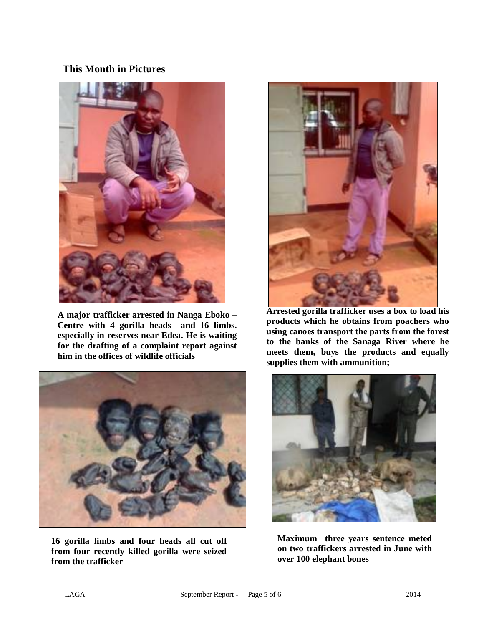### **This Month in Pictures**



**A major trafficker arrested in Nanga Eboko – Centre with 4 gorilla heads and 16 limbs. especially in reserves near Edea. He is waiting for the drafting of a complaint report against him in the offices of wildlife officials**



**16 gorilla limbs and four heads all cut off from four recently killed gorilla were seized from the trafficker** 



**Arrested gorilla trafficker uses a box to load his products which he obtains from poachers who using canoes transport the parts from the forest to the banks of the Sanaga River where he meets them, buys the products and equally supplies them with ammunition;**



**Maximum three years sentence meted on two traffickers arrested in June with over 100 elephant bones**